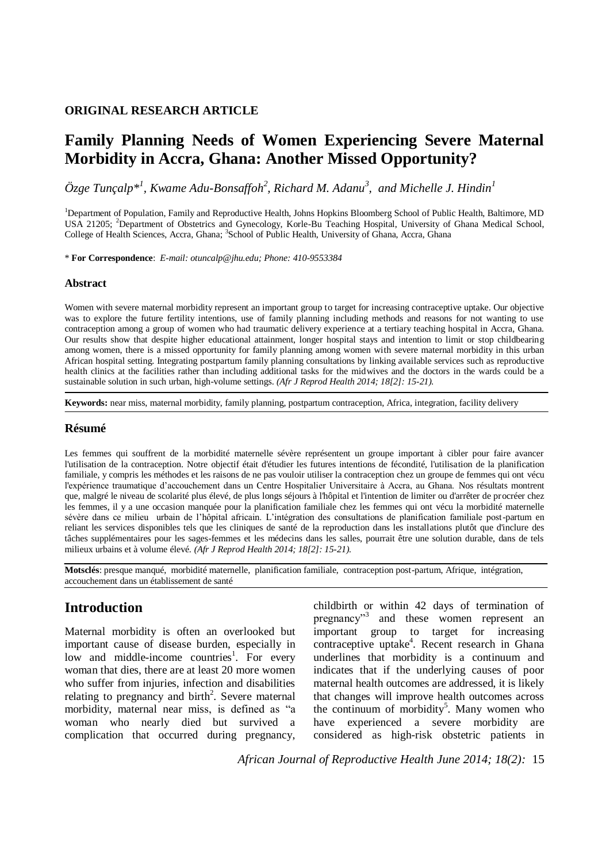## **ORIGINAL RESEARCH ARTICLE**

# **Family Planning Needs of Women Experiencing Severe Maternal Morbidity in Accra, Ghana: Another Missed Opportunity?**

 $\ddot{O}$ *zge Tunçalp*\*<sup>1</sup>, Kwame Adu-Bonsaffoh<sup>2</sup>, Richard M. Adanu<sup>3</sup>, and Michelle J. Hindin<sup>1</sup>

<sup>1</sup>Department of Population, Family and Reproductive Health, Johns Hopkins Bloomberg School of Public Health, Baltimore, MD USA 21205; <sup>2</sup>Department of Obstetrics and Gynecology, Korle-Bu Teaching Hospital, University of Ghana Medical School, College of Health Sciences, Accra, Ghana; <sup>3</sup>School of Public Health, University of Ghana, Accra, Ghana

\* **For Correspondence**: *E-mail: otuncalp@jhu.edu; Phone: 410-9553384*

### **Abstract**

Women with severe maternal morbidity represent an important group to target for increasing contraceptive uptake. Our objective was to explore the future fertility intentions, use of family planning including methods and reasons for not wanting to use contraception among a group of women who had traumatic delivery experience at a tertiary teaching hospital in Accra, Ghana. Our results show that despite higher educational attainment, longer hospital stays and intention to limit or stop childbearing among women, there is a missed opportunity for family planning among women with severe maternal morbidity in this urban African hospital setting. Integrating postpartum family planning consultations by linking available services such as reproductive health clinics at the facilities rather than including additional tasks for the midwives and the doctors in the wards could be a sustainable solution in such urban, high-volume settings. *(Afr J Reprod Health 2014; 18[2]: 15-21).*

**Keywords:** near miss, maternal morbidity, family planning, postpartum contraception, Africa, integration, facility delivery

### **Résumé**

Les femmes qui souffrent de la morbidité maternelle sévère représentent un groupe important à cibler pour faire avancer l'utilisation de la contraception. Notre objectif était d'étudier les futures intentions de fécondité, l'utilisation de la planification familiale, y compris les méthodes et les raisons de ne pas vouloir utiliser la contraception chez un groupe de femmes qui ont vécu l'expérience traumatique d'accouchement dans un Centre Hospitalier Universitaire à Accra, au Ghana. Nos résultats montrent que, malgré le niveau de scolarité plus élevé, de plus longs séjours à l'hôpital et l'intention de limiter ou d'arrêter de procréer chez les femmes, il y a une occasion manquée pour la planification familiale chez les femmes qui ont vécu la morbidité maternelle sévère dans ce milieu urbain de l'hôpital africain. L'intégration des consultations de planification familiale post-partum en reliant les services disponibles tels que les cliniques de santé de la reproduction dans les installations plutôt que d'inclure des tâches supplémentaires pour les sages-femmes et les médecins dans les salles, pourrait être une solution durable, dans de tels milieux urbains et à volume élevé. *(Afr J Reprod Health 2014; 18[2]: 15-21).*

**Motsclés**: presque manqué, morbidité maternelle, planification familiale, contraception post-partum, Afrique, intégration, accouchement dans un établissement de santé

# **Introduction**

Maternal morbidity is often an overlooked but important cause of disease burden, especially in low and middle-income countrie[s](#page-5-0)<sup>1</sup>. For every woman that dies, there are at least 20 more women who suffer from injuries, infection and disabilities relating to pregnancy and birth<sup>2</sup>[.](#page-5-1) Severe maternal morbidity, maternal near miss, is defined as "a woman who nearly died but survived a complication that occurred during pregnancy,

childbirth or within 42 days of termination of pregnancy["](#page-5-2)<sup>3</sup> and these women represent an important group to target for increasing contrac[e](#page-5-3)ptive uptake<sup>4</sup>. Recent research in Ghana underlines that morbidity is a continuum and indicates that if the underlying causes of poor maternal health outcomes are addressed, it is likely that changes will improve health outcomes across the continuum of morbidit[y](#page-5-4)<sup>5</sup>. Many women who have experienced a severe morbidity are considered as high-risk obstetric patients in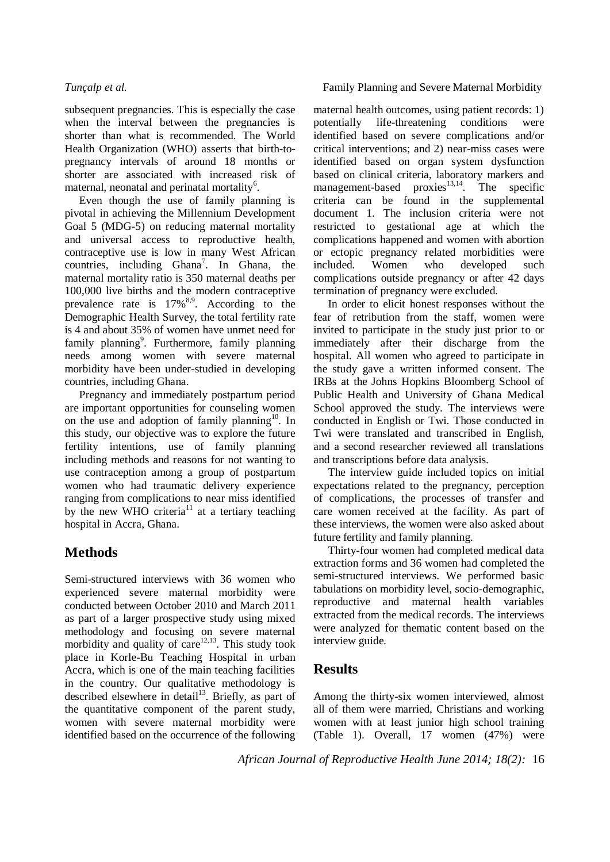subsequent pregnancies. This is especially the case when the interval between the pregnancies is shorter than what is recommended. The World Health Organization (WHO) asserts that birth-topregnancy intervals of around 18 months or shorter are associated with increased risk of maternal, neonatal and perinatal mortality<sup>6</sup>[.](#page-5-5)

Even though the use of family planning is pivotal in achieving the Millennium Development Goal 5 (MDG-5) on reducing maternal mortality and universal access to reproductive health, contraceptive use is low in many West African countries, including  $Ghana^7$ [.](#page-5-6) In Ghana, the maternal mortality ratio is 350 maternal deaths per 100,000 live births and the modern contraceptive prevalence rate is  $17\%^{8,9}$  $17\%^{8,9}$  $17\%^{8,9}$  $17\%^{8,9}$ . According to the Demographic Health Survey, the total fertility rate is 4 and about 35% of women have unmet need for family planning<sup>9</sup>[.](#page-5-8) Furthermore, family planning needs among women with severe maternal morbidity have been under-studied in developing countries, including Ghana.

Pregnancy and immediately postpartum period are important opportunities for counseling women on the use and adoption of family planning<sup>[10](#page-5-9)</sup>. In this study, our objective was to explore the future fertility intentions, use of family planning including methods and reasons for not wanting to use contraception among a group of postpartum women who had traumatic delivery experience ranging from complications to near miss identified by the new WHO criteria<sup>[11](#page-5-10)</sup> at a tertiary teaching hospital in Accra, Ghana.

# **Methods**

Semi-structured interviews with 36 women who experienced severe maternal morbidity were conducted between October 2010 and March 2011 as part of a larger prospective study using mixed methodology and focusing on severe maternal morbidity and quality of care $12,13$  $12,13$ . This study took place in Korle-Bu Teaching Hospital in urban Accra, which is one of the main teaching facilities in the country. Our qualitative methodology is described elsewhere in detail<sup>[13](#page-5-12)</sup>. Briefly, as part of the quantitative component of the parent study, women with severe maternal morbidity were identified based on the occurrence of the following

## *Tunçalp et al.* **Family Planning and Severe Maternal Morbidity**

maternal health outcomes, using patient records: 1) potentially life-threatening conditions were identified based on severe complications and/or critical interventions; and 2) near-miss cases were identified based on organ system dysfunction based on clinical criteria, laboratory markers and management-based proxies $13,14$  $13,14$ . The specific criteria can be found in the supplemental document 1. The inclusion criteria were not restricted to gestational age at which the complications happened and women with abortion or ectopic pregnancy related morbidities were included. Women who developed such complications outside pregnancy or after 42 days termination of pregnancy were excluded.

In order to elicit honest responses without the fear of retribution from the staff, women were invited to participate in the study just prior to or immediately after their discharge from the hospital. All women who agreed to participate in the study gave a written informed consent. The IRBs at the Johns Hopkins Bloomberg School of Public Health and University of Ghana Medical School approved the study. The interviews were conducted in English or Twi. Those conducted in Twi were translated and transcribed in English, and a second researcher reviewed all translations and transcriptions before data analysis.

The interview guide included topics on initial expectations related to the pregnancy, perception of complications, the processes of transfer and care women received at the facility. As part of these interviews, the women were also asked about future fertility and family planning.

Thirty-four women had completed medical data extraction forms and 36 women had completed the semi-structured interviews. We performed basic tabulations on morbidity level, socio-demographic, reproductive and maternal health variables extracted from the medical records. The interviews were analyzed for thematic content based on the interview guide.

# **Results**

Among the thirty-six women interviewed, almost all of them were married, Christians and working women with at least junior high school training (Table 1). Overall, 17 women (47%) were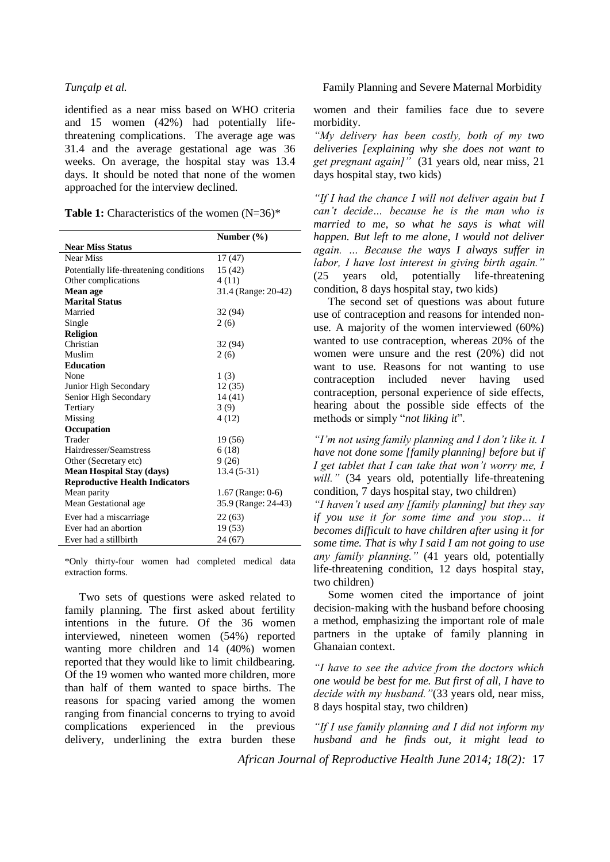identified as a near miss based on WHO criteria and 15 women (42%) had potentially lifethreatening complications. The average age was 31.4 and the average gestational age was 36 weeks. On average, the hospital stay was 13.4 days. It should be noted that none of the women approached for the interview declined.

Table 1: Characteristics of the women (N=36)<sup>\*</sup>

|                                         | Number $(\% )$      |  |  |  |  |  |  |  |
|-----------------------------------------|---------------------|--|--|--|--|--|--|--|
| <b>Near Miss Status</b>                 |                     |  |  |  |  |  |  |  |
| Near Miss                               | 17(47)              |  |  |  |  |  |  |  |
| Potentially life-threatening conditions | 15 (42)             |  |  |  |  |  |  |  |
| Other complications                     | 4(11)               |  |  |  |  |  |  |  |
| Mean age                                | 31.4 (Range: 20-42) |  |  |  |  |  |  |  |
| <b>Marital Status</b>                   |                     |  |  |  |  |  |  |  |
| Married                                 | 32 (94)             |  |  |  |  |  |  |  |
| Single                                  | 2(6)                |  |  |  |  |  |  |  |
| <b>Religion</b>                         |                     |  |  |  |  |  |  |  |
| Christian                               | 32 (94)             |  |  |  |  |  |  |  |
| Muslim                                  | 2(6)                |  |  |  |  |  |  |  |
| <b>Education</b>                        |                     |  |  |  |  |  |  |  |
| None                                    | 1(3)                |  |  |  |  |  |  |  |
| Junior High Secondary                   | 12(35)              |  |  |  |  |  |  |  |
| Senior High Secondary                   | 14(41)              |  |  |  |  |  |  |  |
| Tertiary                                | 3(9)                |  |  |  |  |  |  |  |
| Missing                                 | 4(12)               |  |  |  |  |  |  |  |
| Occupation                              |                     |  |  |  |  |  |  |  |
| Trader                                  | 19 (56)             |  |  |  |  |  |  |  |
| Hairdresser/Seamstress                  | 6(18)               |  |  |  |  |  |  |  |
| Other (Secretary etc)                   | 9(26)               |  |  |  |  |  |  |  |
| <b>Mean Hospital Stay (days)</b>        | $13.4(5-31)$        |  |  |  |  |  |  |  |
| <b>Reproductive Health Indicators</b>   |                     |  |  |  |  |  |  |  |
| Mean parity                             | 1.67 (Range: 0-6)   |  |  |  |  |  |  |  |
| Mean Gestational age                    | 35.9 (Range: 24-43) |  |  |  |  |  |  |  |
| Ever had a miscarriage                  | 22(63)              |  |  |  |  |  |  |  |
| Ever had an abortion                    | 19 (53)             |  |  |  |  |  |  |  |
| Ever had a stillbirth                   | 24(67)              |  |  |  |  |  |  |  |

\*Only thirty-four women had completed medical data extraction forms.

Two sets of questions were asked related to family planning. The first asked about fertility intentions in the future. Of the 36 women interviewed, nineteen women (54%) reported wanting more children and 14 (40%) women reported that they would like to limit childbearing. Of the 19 women who wanted more children, more than half of them wanted to space births. The reasons for spacing varied among the women ranging from financial concerns to trying to avoid complications experienced in the previous delivery, underlining the extra burden these women and their families face due to severe morbidity.

*"My delivery has been costly, both of my two deliveries [explaining why she does not want to get pregnant again]"* (31 years old, near miss, 21 days hospital stay, two kids)

*"If I had the chance I will not deliver again but I can't decide… because he is the man who is married to me, so what he says is what will happen. But left to me alone, I would not deliver again. … Because the ways I always suffer in labor, I have lost interest in giving birth again."* (25 years old, potentially life-threatening condition, 8 days hospital stay, two kids)

The second set of questions was about future use of contraception and reasons for intended nonuse. A majority of the women interviewed (60%) wanted to use contraception, whereas 20% of the women were unsure and the rest (20%) did not want to use. Reasons for not wanting to use contraception included never having used contraception, personal experience of side effects, hearing about the possible side effects of the methods or simply "*not liking it*".

*"I'm not using family planning and I don't like it. I have not done some [family planning] before but if I get tablet that I can take that won't worry me, I*  will." (34 years old, potentially life-threatening condition, 7 days hospital stay, two children)

*"I haven't used any [family planning] but they say if you use it for some time and you stop… it becomes difficult to have children after using it for some time. That is why I said I am not going to use any family planning."* (41 years old, potentially life-threatening condition, 12 days hospital stay, two children)

Some women cited the importance of joint decision-making with the husband before choosing a method, emphasizing the important role of male partners in the uptake of family planning in Ghanaian context.

*"I have to see the advice from the doctors which one would be best for me. But first of all, I have to decide with my husband."*(33 years old, near miss, 8 days hospital stay, two children)

*"If I use family planning and I did not inform my husband and he finds out, it might lead to*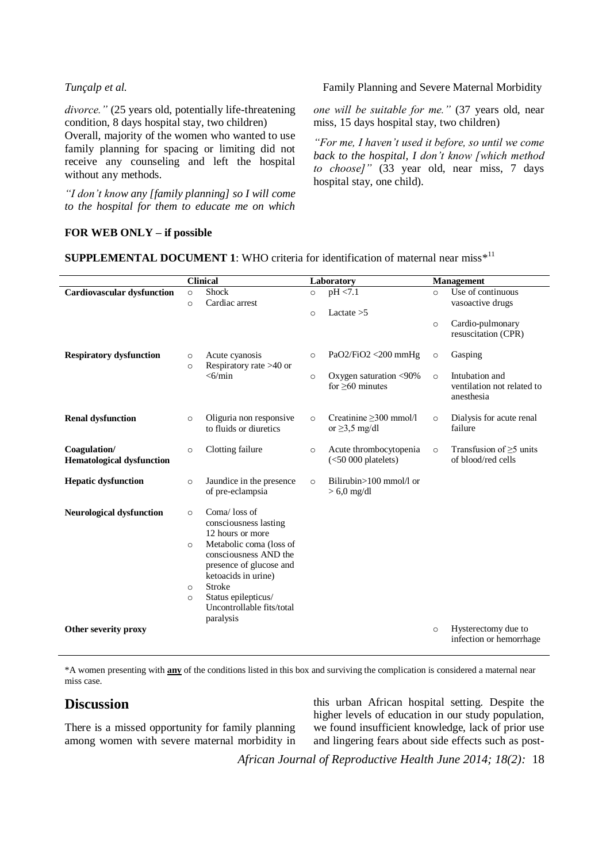*divorce."* (25 years old, potentially life-threatening condition, 8 days hospital stay, two children)

Overall, majority of the women who wanted to use family planning for spacing or limiting did not receive any counseling and left the hospital without any methods.

*"I don't know any [family planning] so I will come to the hospital for them to educate me on which* 

*Tunçalp et al.* **Family Planning and Severe Maternal Morbidity** 

*one will be suitable for me."* (37 years old, near miss, 15 days hospital stay, two children)

*"For me, I haven't used it before, so until we come back to the hospital, I don't know [which method to choose]"* (33 year old, near miss, 7 days hospital stay, one child).

### **FOR WEB ONLY – if possible**

**SUPPLEMENTAL DOCUMENT 1:** WHO criteria for identification of maternal near miss\*<sup>[11](#page-5-10)</sup>

|                                   | <b>Clinical</b> |                                                  | Laboratory |                               | <b>Management</b> |                            |
|-----------------------------------|-----------------|--------------------------------------------------|------------|-------------------------------|-------------------|----------------------------|
| <b>Cardiovascular dysfunction</b> | $\circ$         | Shock                                            | $\circ$    | pH < 7.1                      | $\circ$           | Use of continuous          |
|                                   | $\circ$         | Cardiac arrest                                   |            |                               |                   | vasoactive drugs           |
|                                   |                 |                                                  | $\circ$    | Lactate $>5$                  |                   |                            |
|                                   |                 |                                                  |            |                               | $\circ$           | Cardio-pulmonary           |
|                                   |                 |                                                  |            |                               |                   | resuscitation (CPR)        |
|                                   |                 |                                                  |            |                               |                   |                            |
| <b>Respiratory dysfunction</b>    | $\circ$         | Acute cyanosis                                   | $\circ$    | PaO2/FiO2 <200 mmHg           | $\circ$           | Gasping                    |
|                                   | $\circ$         | Respiratory rate $>40$ or                        |            |                               |                   |                            |
|                                   |                 | $<$ 6/min                                        | $\circ$    | Oxygen saturation <90%        | $\circ$           | Intubation and             |
|                                   |                 |                                                  |            | for $>60$ minutes             |                   | ventilation not related to |
|                                   |                 |                                                  |            |                               |                   | anesthesia                 |
| <b>Renal dysfunction</b>          | $\circ$         | Oliguria non responsive                          | $\circ$    | Creatinine $\geq$ 300 mmol/l  | $\circ$           | Dialysis for acute renal   |
|                                   |                 | to fluids or diuretics                           |            | or $\geq$ 3.5 mg/dl           |                   | failure                    |
|                                   |                 |                                                  |            |                               |                   |                            |
| Coagulation/                      | $\circ$         | Clotting failure                                 | $\circ$    | Acute thrombocytopenia        | $\circ$           | Transfusion of $>5$ units  |
| <b>Hematological dysfunction</b>  |                 |                                                  |            | $(<50 000$ platelets)         |                   | of blood/red cells         |
|                                   |                 |                                                  |            |                               |                   |                            |
| <b>Hepatic dysfunction</b>        | $\circ$         | Jaundice in the presence                         | $\Omega$   | Bilirubin $>100$ mmol $/1$ or |                   |                            |
|                                   |                 | of pre-eclampsia                                 |            | $> 6.0$ mg/dl                 |                   |                            |
|                                   |                 |                                                  |            |                               |                   |                            |
| <b>Neurological dysfunction</b>   | $\circ$         | Coma/loss of                                     |            |                               |                   |                            |
|                                   |                 | consciousness lasting                            |            |                               |                   |                            |
|                                   |                 | 12 hours or more                                 |            |                               |                   |                            |
|                                   | $\circ$         | Metabolic coma (loss of                          |            |                               |                   |                            |
|                                   |                 | consciousness AND the                            |            |                               |                   |                            |
|                                   |                 | presence of glucose and                          |            |                               |                   |                            |
|                                   |                 | ketoacids in urine)                              |            |                               |                   |                            |
|                                   | $\circ$         | <b>Stroke</b>                                    |            |                               |                   |                            |
|                                   | $\circ$         | Status epilepticus/<br>Uncontrollable fits/total |            |                               |                   |                            |
|                                   |                 |                                                  |            |                               |                   |                            |
| Other severity proxy              |                 | paralysis                                        |            |                               |                   | Hysterectomy due to        |
|                                   |                 |                                                  |            |                               | $\circ$           | infection or hemorrhage.   |
|                                   |                 |                                                  |            |                               |                   |                            |

\*A women presenting with **any** of the conditions listed in this box and surviving the complication is considered a maternal near miss case.

# **Discussion**

There is a missed opportunity for family planning among women with severe maternal morbidity in this urban African hospital setting. Despite the higher levels of education in our study population, we found insufficient knowledge, lack of prior use and lingering fears about side effects such as post-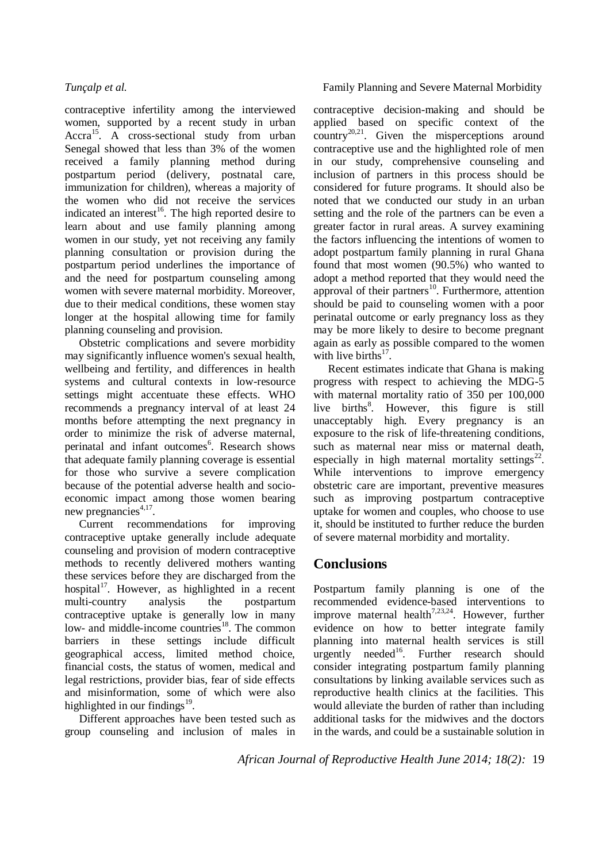contraceptive infertility among the interviewed women, supported by a recent study in urban Accra<sup>[15](#page-5-14)</sup>. A cross-sectional study from urban Senegal showed that less than 3% of the women received a family planning method during postpartum period (delivery, postnatal care, immunization for children), whereas a majority of the women who did not receive the services indicated an interest<sup>[16](#page-5-15)</sup>. The high reported desire to learn about and use family planning among women in our study, yet not receiving any family planning consultation or provision during the postpartum period underlines the importance of and the need for postpartum counseling among women with severe maternal morbidity. Moreover, due to their medical conditions, these women stay longer at the hospital allowing time for family planning counseling and provision.

Obstetric complications and severe morbidity may significantly influence women's sexual health, wellbeing and fertility, and differences in health systems and cultural contexts in low-resource settings might accentuate these effects. WHO recommends a pregnancy interval of at least 24 months before attempting the next pregnancy in order to minimize the risk of adverse maternal, perinatal and infant outcomes<sup>6</sup>[.](#page-5-5) Research shows that adequate family planning coverage is essential for those who survive a severe complication because of the potential adverse health and socioeconomic impact among those women bearing new pregnancies<sup>[4,](#page-5-3)[17](#page-5-16)</sup>.

Current recommendations for improving contraceptive uptake generally include adequate counseling and provision of modern contraceptive methods to recently delivered mothers wanting these services before they are discharged from the hospital<sup>[17](#page-5-16)</sup>. However, as highlighted in a recent multi-country analysis the postpartum contraceptive uptake is generally low in many low- and middle-income countries<sup>[18](#page-5-17)</sup>. The common barriers in these settings include difficult geographical access, limited method choice, financial costs, the status of women, medical and legal restrictions, provider bias, fear of side effects and misinformation, some of which were also highlighted in our findings<sup>[19](#page-5-18)</sup>.

Different approaches have been tested such as group counseling and inclusion of males in

## *Tunçalp et al.* Family Planning and Severe Maternal Morbidity

contraceptive decision-making and should be applied based on specific context of the country<sup>[20,](#page-6-0)[21](#page-6-1)</sup>. Given the misperceptions around contraceptive use and the highlighted role of men in our study, comprehensive counseling and inclusion of partners in this process should be considered for future programs. It should also be noted that we conducted our study in an urban setting and the role of the partners can be even a greater factor in rural areas. A survey examining the factors influencing the intentions of women to adopt postpartum family planning in rural Ghana found that most women (90.5%) who wanted to adopt a method reported that they would need the approval of their partners<sup>[10](#page-5-9)</sup>. Furthermore, attention should be paid to counseling women with a poor perinatal outcome or early pregnancy loss as they may be more likely to desire to become pregnant again as early as possible compared to the women with live births $17$ .

Recent estimates indicate that Ghana is making progress with respect to achieving the MDG-5 with maternal mortality ratio of 350 per 100,000 live births<sup>8</sup>[.](#page-5-7) However, this figure is still unacceptably high. Every pregnancy is an exposure to the risk of life-threatening conditions, such as maternal near miss or maternal death, especially in high maternal mortality settings<sup>[22](#page-6-2)</sup>. While interventions to improve emergency obstetric care are important, preventive measures such as improving postpartum contraceptive uptake for women and couples, who choose to use it, should be instituted to further reduce the burden of severe maternal morbidity and mortality.

# **Conclusions**

Postpartum family planning is one of the recommended evidence-based interventions to improve maternal health<sup>[7,](#page-5-6)[23,](#page-6-3)[24](#page-6-4)</sup>. However, further evidence on how to better integrate family planning into maternal health services is still urgently needed<sup>[16](#page-5-15)</sup>[.](#page-5-15) Further research should consider integrating postpartum family planning consultations by linking available services such as reproductive health clinics at the facilities. This would alleviate the burden of rather than including additional tasks for the midwives and the doctors in the wards, and could be a sustainable solution in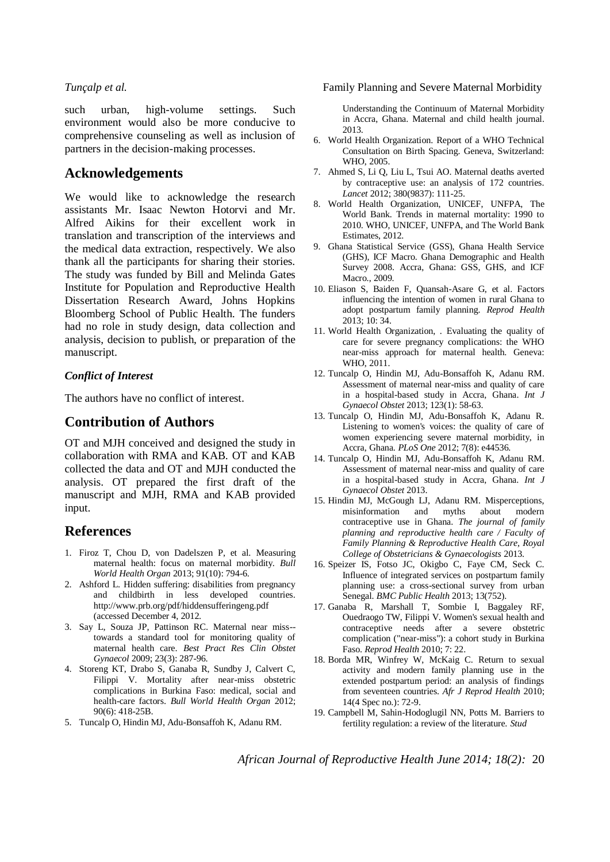such urban, high-volume settings. Such environment would also be more conducive to comprehensive counseling as well as inclusion of partners in the decision-making processes.

# **Acknowledgements**

We would like to acknowledge the research assistants Mr. Isaac Newton Hotorvi and Mr. Alfred Aikins for their excellent work in translation and transcription of the interviews and the medical data extraction, respectively. We also thank all the participants for sharing their stories. The study was funded by Bill and Melinda Gates Institute for Population and Reproductive Health Dissertation Research Award, Johns Hopkins Bloomberg School of Public Health. The funders had no role in study design, data collection and analysis, decision to publish, or preparation of the manuscript.

## *Conflict of Interest*

The authors have no conflict of interest.

# **Contribution of Authors**

OT and MJH conceived and designed the study in collaboration with RMA and KAB. OT and KAB collected the data and OT and MJH conducted the analysis. OT prepared the first draft of the manuscript and MJH, RMA and KAB provided input.

# **References**

- <span id="page-5-0"></span>1. Firoz T, Chou D, von Dadelszen P, et al. Measuring maternal health: focus on maternal morbidity. *Bull World Health Organ* 2013; 91(10): 794-6.
- <span id="page-5-1"></span>2. Ashford L. Hidden suffering: disabilities from pregnancy and childbirth in less developed countries. http://www.prb.org/pdf/hiddensufferingeng.pdf (accessed December 4, 2012.
- <span id="page-5-2"></span>3. Say L, Souza JP, Pattinson RC. Maternal near miss- towards a standard tool for monitoring quality of maternal health care. *Best Pract Res Clin Obstet Gynaecol* 2009; 23(3): 287-96.
- <span id="page-5-3"></span>4. Storeng KT, Drabo S, Ganaba R, Sundby J, Calvert C, Filippi V. Mortality after near-miss obstetric complications in Burkina Faso: medical, social and health-care factors. *Bull World Health Organ* 2012; 90(6): 418-25B.
- <span id="page-5-4"></span>5. Tuncalp O, Hindin MJ, Adu-Bonsaffoh K, Adanu RM.

### *Tunçalp et al.* **Family Planning and Severe Maternal Morbidity**

Understanding the Continuum of Maternal Morbidity in Accra, Ghana. Maternal and child health journal. 2013.

- <span id="page-5-5"></span>6. World Health Organization. Report of a WHO Technical Consultation on Birth Spacing. Geneva, Switzerland: WHO, 2005.
- <span id="page-5-6"></span>7. Ahmed S, Li Q, Liu L, Tsui AO. Maternal deaths averted by contraceptive use: an analysis of 172 countries. *Lancet* 2012; 380(9837): 111-25.
- <span id="page-5-7"></span>8. World Health Organization, UNICEF, UNFPA, The World Bank. Trends in maternal mortality: 1990 to 2010. WHO, UNICEF, UNFPA, and The World Bank Estimates, 2012.
- <span id="page-5-8"></span>9. Ghana Statistical Service (GSS), Ghana Health Service (GHS), ICF Macro. Ghana Demographic and Health Survey 2008. Accra, Ghana: GSS, GHS, and ICF Macro., 2009.
- <span id="page-5-9"></span>10. Eliason S, Baiden F, Quansah-Asare G, et al. Factors influencing the intention of women in rural Ghana to adopt postpartum family planning. *Reprod Health* 2013; 10: 34.
- <span id="page-5-10"></span>11. World Health Organization, . Evaluating the quality of care for severe pregnancy complications: the WHO near-miss approach for maternal health. Geneva: WHO, 2011.
- <span id="page-5-11"></span>12. Tuncalp O, Hindin MJ, Adu-Bonsaffoh K, Adanu RM. Assessment of maternal near-miss and quality of care in a hospital-based study in Accra, Ghana. *Int J Gynaecol Obstet* 2013; 123(1): 58-63.
- <span id="page-5-12"></span>13. Tuncalp O, Hindin MJ, Adu-Bonsaffoh K, Adanu R. Listening to women's voices: the quality of care of women experiencing severe maternal morbidity, in Accra, Ghana. *PLoS One* 2012; 7(8): e44536.
- <span id="page-5-13"></span>14. Tuncalp O, Hindin MJ, Adu-Bonsaffoh K, Adanu RM. Assessment of maternal near-miss and quality of care in a hospital-based study in Accra, Ghana. *Int J Gynaecol Obstet* 2013.
- <span id="page-5-14"></span>15. Hindin MJ, McGough LJ, Adanu RM. Misperceptions, misinformation and myths about modern contraceptive use in Ghana. *The journal of family planning and reproductive health care / Faculty of Family Planning & Reproductive Health Care, Royal College of Obstetricians & Gynaecologists* 2013.
- <span id="page-5-15"></span>16. Speizer IS, Fotso JC, Okigbo C, Faye CM, Seck C. Influence of integrated services on postpartum family planning use: a cross-sectional survey from urban Senegal. *BMC Public Health* 2013; 13(752).
- <span id="page-5-16"></span>17. Ganaba R, Marshall T, Sombie I, Baggaley RF, Ouedraogo TW, Filippi V. Women's sexual health and contraceptive needs after a severe obstetric complication ("near-miss"): a cohort study in Burkina Faso. *Reprod Health* 2010; 7: 22.
- <span id="page-5-17"></span>18. Borda MR, Winfrey W, McKaig C. Return to sexual activity and modern family planning use in the extended postpartum period: an analysis of findings from seventeen countries. *Afr J Reprod Health* 2010; 14(4 Spec no.): 72-9.
- <span id="page-5-18"></span>19. Campbell M, Sahin-Hodoglugil NN, Potts M. Barriers to fertility regulation: a review of the literature. *Stud*